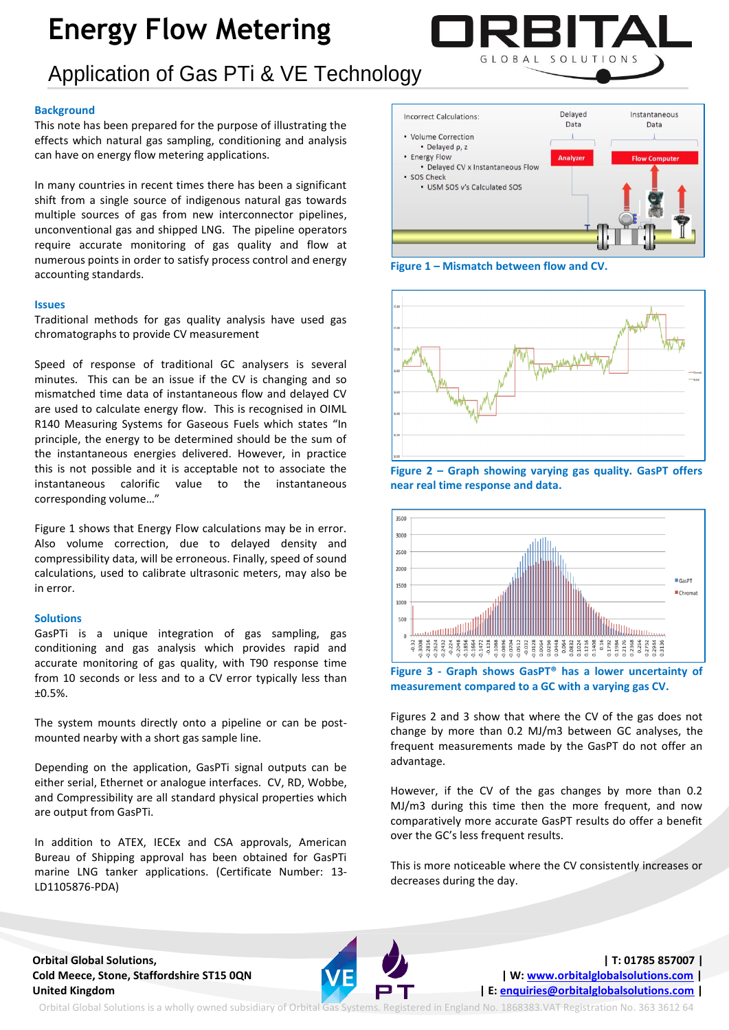# **Energy Flow Metering**



### **Background**

This note has been prepared for the purpose of illustrating the effects which natural gas sampling, conditioning and analysis can have on energy flow metering applications.

In many countries in recent times there has been a significant shift from a single source of indigenous natural gas towards multiple sources of gas from new interconnector pipelines, unconventional gas and shipped LNG. The pipeline operators require accurate monitoring of gas quality and flow at numerous points in order to satisfy process control and energy accounting standards.

#### **Issues**

Traditional methods for gas quality analysis have used gas chromatographs to provide CV measurement

Speed of response of traditional GC analysers is several minutes. This can be an issue if the CV is changing and so mismatched time data of instantaneous flow and delayed CV are used to calculate energy flow. This is recognised in OIML R140 Measuring Systems for Gaseous Fuels which states "In principle, the energy to be determined should be the sum of the instantaneous energies delivered. However, in practice this is not possible and it is acceptable not to associate the instantaneous calorific value to the instantaneous corresponding volume…"

Figure 1 shows that Energy Flow calculations may be in error. Also volume correction, due to delayed density and compressibility data, will be erroneous. Finally, speed of sound calculations, used to calibrate ultrasonic meters, may also be in error.

### **Solutions**

GasPTi is a unique integration of gas sampling, gas conditioning and gas analysis which provides rapid and accurate monitoring of gas quality, with T90 response time from 10 seconds or less and to a CV error typically less than ±0.5%.

The system mounts directly onto a pipeline or can be postmounted nearby with a short gas sample line.

Depending on the application, GasPTi signal outputs can be either serial, Ethernet or analogue interfaces. CV, RD, Wobbe, and Compressibility are all standard physical properties which are output from GasPTi.

In addition to ATEX, IECEx and CSA approvals, American Bureau of Shipping approval has been obtained for GasPTi marine LNG tanker applications. (Certificate Number: 13- LD1105876-PDA)



GLOBAL SOLUTION

**Figure 1 – Mismatch between flow and CV.**







**Figure 3 - Graph shows GasPT® has a lower uncertainty of measurement compared to a GC with a varying gas CV.**

Figures 2 and 3 show that where the CV of the gas does not change by more than 0.2 MJ/m3 between GC analyses, the frequent measurements made by the GasPT do not offer an advantage.

However, if the CV of the gas changes by more than 0.2 MJ/m3 during this time then the more frequent, and now comparatively more accurate GasPT results do offer a benefit over the GC's less frequent results.

This is more noticeable where the CV consistently increases or decreases during the day.



Orbital Global Solutions is a wholly owned subsidiary of Orbital Gas Systems. Registered in England No. 1868383.VAT Registration No. 363 3612 64